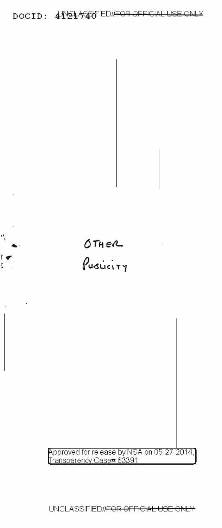



Ϋ́

r ť.

Approved for release by NSA on 05-27-2014,<br>Transparency Case# 63391

UNCLASSIFIED/<del>IFOR OFFICIAL USE ONLY</del>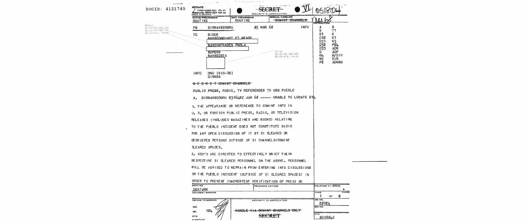